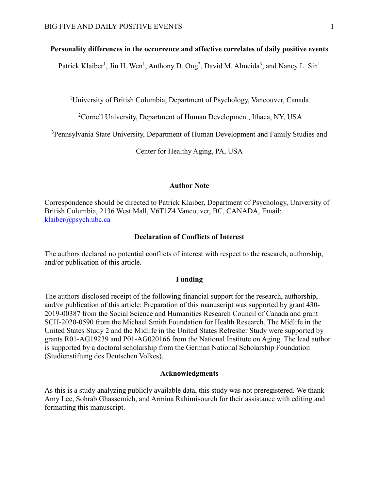## **Personality differences in the occurrence and affective correlates of daily positive events**

Patrick Klaiber<sup>1</sup>, Jin H. Wen<sup>1</sup>, Anthony D. Ong<sup>2</sup>, David M. Almeida<sup>3</sup>, and Nancy L. Sin<sup>1</sup>

<sup>1</sup>University of British Columbia, Department of Psychology, Vancouver, Canada

<sup>2</sup> Cornell University, Department of Human Development, Ithaca, NY, USA

<sup>3</sup>Pennsylvania State University, Department of Human Development and Family Studies and

Center for Healthy Aging, PA, USA

### **Author Note**

Correspondence should be directed to Patrick Klaiber, Department of Psychology, University of British Columbia, 2136 West Mall, V6T1Z4 Vancouver, BC, CANADA, Email: [klaiber@psych.ubc.ca](mailto:nsin@psych.ubc.ca)

### **Declaration of Conflicts of Interest**

The authors declared no potential conflicts of interest with respect to the research, authorship, and/or publication of this article.

#### **Funding**

The authors disclosed receipt of the following financial support for the research, authorship, and/or publication of this article: Preparation of this manuscript was supported by grant 430- 2019-00387 from the Social Science and Humanities Research Council of Canada and grant SCH-2020-0590 from the Michael Smith Foundation for Health Research. The Midlife in the United States Study 2 and the Midlife in the United States Refresher Study were supported by grants R01-AG19239 and P01-AG020166 from the National Institute on Aging. The lead author is supported by a doctoral scholarship from the German National Scholarship Foundation (Studienstiftung des Deutschen Volkes).

### **Acknowledgments**

As this is a study analyzing publicly available data, this study was not preregistered. We thank Amy Lee, Sohrab Ghassemieh, and Armina Rahimisoureh for their assistance with editing and formatting this manuscript.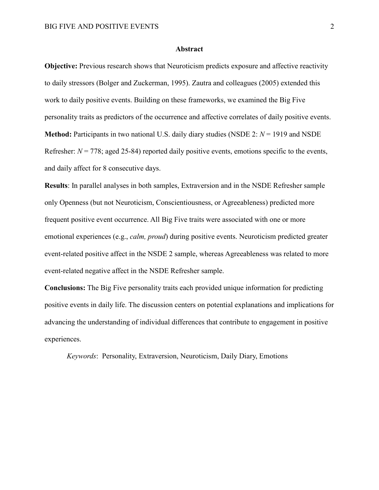#### **Abstract**

**Objective:** Previous research shows that Neuroticism predicts exposure and affective reactivity to daily stressors (Bolger and Zuckerman, 1995). Zautra and colleagues (2005) extended this work to daily positive events. Building on these frameworks, we examined the Big Five personality traits as predictors of the occurrence and affective correlates of daily positive events. **Method:** Participants in two national U.S. daily diary studies (NSDE 2: *N* = 1919 and NSDE Refresher:  $N = 778$ ; aged 25-84) reported daily positive events, emotions specific to the events, and daily affect for 8 consecutive days.

**Results**: In parallel analyses in both samples, Extraversion and in the NSDE Refresher sample only Openness (but not Neuroticism, Conscientiousness, or Agreeableness) predicted more frequent positive event occurrence. All Big Five traits were associated with one or more emotional experiences (e.g., *calm, proud*) during positive events. Neuroticism predicted greater event-related positive affect in the NSDE 2 sample, whereas Agreeableness was related to more event-related negative affect in the NSDE Refresher sample.

**Conclusions:** The Big Five personality traits each provided unique information for predicting positive events in daily life. The discussion centers on potential explanations and implications for advancing the understanding of individual differences that contribute to engagement in positive experiences.

*Keywords*: Personality, Extraversion, Neuroticism, Daily Diary, Emotions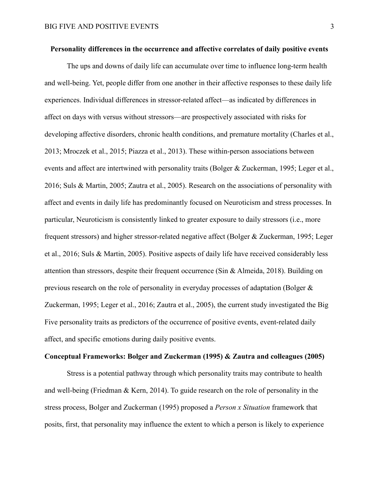## **Personality differences in the occurrence and affective correlates of daily positive events**

The ups and downs of daily life can accumulate over time to influence long-term health and well-being. Yet, people differ from one another in their affective responses to these daily life experiences. Individual differences in stressor-related affect—as indicated by differences in affect on days with versus without stressors—are prospectively associated with risks for developing affective disorders, chronic health conditions, and premature mortality (Charles et al., 2013; Mroczek et al., 2015; Piazza et al., 2013). These within-person associations between events and affect are intertwined with personality traits (Bolger & Zuckerman, 1995; Leger et al., 2016; Suls & Martin, 2005; Zautra et al., 2005). Research on the associations of personality with affect and events in daily life has predominantly focused on Neuroticism and stress processes. In particular, Neuroticism is consistently linked to greater exposure to daily stressors (i.e., more frequent stressors) and higher stressor-related negative affect (Bolger & Zuckerman, 1995; Leger et al., 2016; Suls & Martin, 2005). Positive aspects of daily life have received considerably less attention than stressors, despite their frequent occurrence (Sin  $\&$  Almeida, 2018). Building on previous research on the role of personality in everyday processes of adaptation (Bolger & Zuckerman, 1995; Leger et al., 2016; Zautra et al., 2005), the current study investigated the Big Five personality traits as predictors of the occurrence of positive events, event-related daily affect, and specific emotions during daily positive events.

## **Conceptual Frameworks: Bolger and Zuckerman (1995) & Zautra and colleagues (2005)**

Stress is a potential pathway through which personality traits may contribute to health and well-being (Friedman & Kern, 2014). To guide research on the role of personality in the stress process, Bolger and Zuckerman (1995) proposed a *Person x Situation* framework that posits, first, that personality may influence the extent to which a person is likely to experience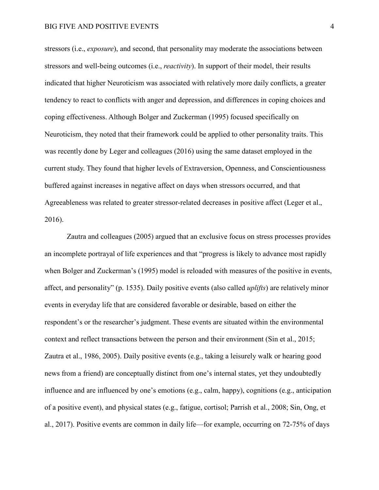stressors (i.e., *exposure*), and second, that personality may moderate the associations between stressors and well-being outcomes (i.e., *reactivity*). In support of their model, their results indicated that higher Neuroticism was associated with relatively more daily conflicts, a greater tendency to react to conflicts with anger and depression, and differences in coping choices and coping effectiveness. Although Bolger and Zuckerman (1995) focused specifically on Neuroticism, they noted that their framework could be applied to other personality traits. This was recently done by Leger and colleagues (2016) using the same dataset employed in the current study. They found that higher levels of Extraversion, Openness, and Conscientiousness buffered against increases in negative affect on days when stressors occurred, and that Agreeableness was related to greater stressor-related decreases in positive affect (Leger et al., 2016).

Zautra and colleagues (2005) argued that an exclusive focus on stress processes provides an incomplete portrayal of life experiences and that "progress is likely to advance most rapidly when Bolger and Zuckerman's (1995) model is reloaded with measures of the positive in events, affect, and personality" (p. 1535). Daily positive events (also called *uplifts*) are relatively minor events in everyday life that are considered favorable or desirable, based on either the respondent's or the researcher's judgment. These events are situated within the environmental context and reflect transactions between the person and their environment (Sin et al., 2015; Zautra et al., 1986, 2005). Daily positive events (e.g., taking a leisurely walk or hearing good news from a friend) are conceptually distinct from one's internal states, yet they undoubtedly influence and are influenced by one's emotions (e.g., calm, happy), cognitions (e.g., anticipation of a positive event), and physical states (e.g., fatigue, cortisol; Parrish et al., 2008; Sin, Ong, et al., 2017). Positive events are common in daily life—for example, occurring on 72-75% of days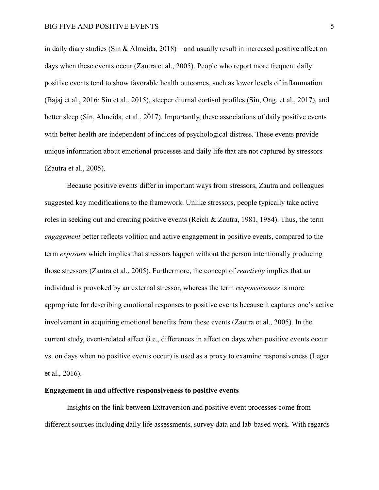in daily diary studies (Sin & Almeida, 2018)—and usually result in increased positive affect on days when these events occur (Zautra et al., 2005). People who report more frequent daily positive events tend to show favorable health outcomes, such as lower levels of inflammation (Bajaj et al., 2016; Sin et al., 2015), steeper diurnal cortisol profiles (Sin, Ong, et al., 2017), and better sleep (Sin, Almeida, et al., 2017). Importantly, these associations of daily positive events with better health are independent of indices of psychological distress. These events provide unique information about emotional processes and daily life that are not captured by stressors (Zautra et al., 2005).

Because positive events differ in important ways from stressors, Zautra and colleagues suggested key modifications to the framework. Unlike stressors, people typically take active roles in seeking out and creating positive events (Reich & Zautra, 1981, 1984). Thus, the term *engagement* better reflects volition and active engagement in positive events, compared to the term *exposure* which implies that stressors happen without the person intentionally producing those stressors (Zautra et al., 2005). Furthermore, the concept of *reactivity* implies that an individual is provoked by an external stressor, whereas the term *responsiveness* is more appropriate for describing emotional responses to positive events because it captures one's active involvement in acquiring emotional benefits from these events (Zautra et al., 2005). In the current study, event-related affect (i.e., differences in affect on days when positive events occur vs. on days when no positive events occur) is used as a proxy to examine responsiveness (Leger et al., 2016).

#### **Engagement in and affective responsiveness to positive events**

Insights on the link between Extraversion and positive event processes come from different sources including daily life assessments, survey data and lab-based work. With regards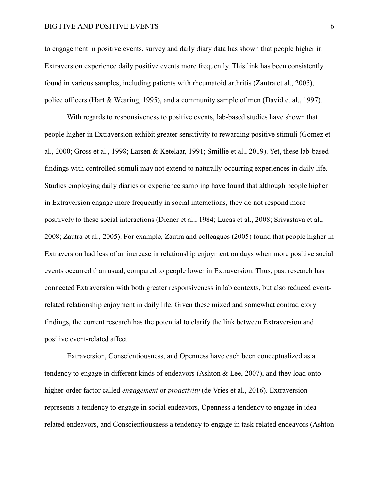to engagement in positive events, survey and daily diary data has shown that people higher in Extraversion experience daily positive events more frequently. This link has been consistently found in various samples, including patients with rheumatoid arthritis (Zautra et al., 2005), police officers (Hart & Wearing, 1995), and a community sample of men (David et al., 1997).

With regards to responsiveness to positive events, lab-based studies have shown that people higher in Extraversion exhibit greater sensitivity to rewarding positive stimuli (Gomez et al., 2000; Gross et al., 1998; Larsen & Ketelaar, 1991; Smillie et al., 2019). Yet, these lab-based findings with controlled stimuli may not extend to naturally-occurring experiences in daily life. Studies employing daily diaries or experience sampling have found that although people higher in Extraversion engage more frequently in social interactions, they do not respond more positively to these social interactions (Diener et al., 1984; Lucas et al., 2008; Srivastava et al., 2008; Zautra et al., 2005). For example, Zautra and colleagues (2005) found that people higher in Extraversion had less of an increase in relationship enjoyment on days when more positive social events occurred than usual, compared to people lower in Extraversion. Thus, past research has connected Extraversion with both greater responsiveness in lab contexts, but also reduced eventrelated relationship enjoyment in daily life. Given these mixed and somewhat contradictory findings, the current research has the potential to clarify the link between Extraversion and positive event-related affect.

Extraversion, Conscientiousness, and Openness have each been conceptualized as a tendency to engage in different kinds of endeavors (Ashton & Lee, 2007), and they load onto higher-order factor called *engagement* or *proactivity* (de Vries et al., 2016). Extraversion represents a tendency to engage in social endeavors, Openness a tendency to engage in idearelated endeavors, and Conscientiousness a tendency to engage in task-related endeavors (Ashton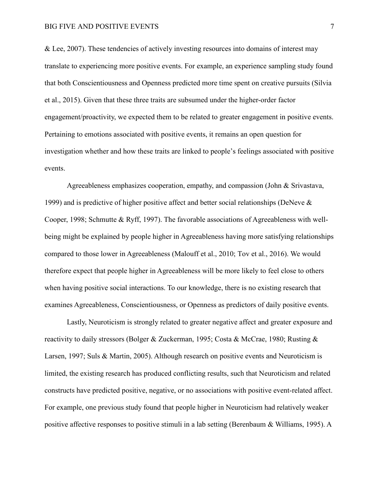& Lee, 2007). These tendencies of actively investing resources into domains of interest may translate to experiencing more positive events. For example, an experience sampling study found that both Conscientiousness and Openness predicted more time spent on creative pursuits (Silvia et al., 2015). Given that these three traits are subsumed under the higher-order factor engagement/proactivity, we expected them to be related to greater engagement in positive events. Pertaining to emotions associated with positive events, it remains an open question for investigation whether and how these traits are linked to people's feelings associated with positive events.

Agreeableness emphasizes cooperation, empathy, and compassion (John & Srivastava, 1999) and is predictive of higher positive affect and better social relationships (DeNeve & Cooper, 1998; Schmutte & Ryff, 1997). The favorable associations of Agreeableness with wellbeing might be explained by people higher in Agreeableness having more satisfying relationships compared to those lower in Agreeableness (Malouff et al., 2010; Tov et al., 2016). We would therefore expect that people higher in Agreeableness will be more likely to feel close to others when having positive social interactions. To our knowledge, there is no existing research that examines Agreeableness, Conscientiousness, or Openness as predictors of daily positive events.

Lastly, Neuroticism is strongly related to greater negative affect and greater exposure and reactivity to daily stressors (Bolger & Zuckerman, 1995; Costa & McCrae, 1980; Rusting & Larsen, 1997; Suls & Martin, 2005). Although research on positive events and Neuroticism is limited, the existing research has produced conflicting results, such that Neuroticism and related constructs have predicted positive, negative, or no associations with positive event-related affect. For example, one previous study found that people higher in Neuroticism had relatively weaker positive affective responses to positive stimuli in a lab setting (Berenbaum & Williams, 1995). A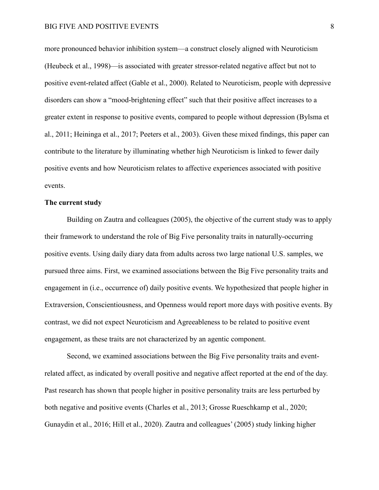more pronounced behavior inhibition system—a construct closely aligned with Neuroticism (Heubeck et al., 1998)—is associated with greater stressor-related negative affect but not to positive event-related affect (Gable et al., 2000). Related to Neuroticism, people with depressive disorders can show a "mood-brightening effect" such that their positive affect increases to a greater extent in response to positive events, compared to people without depression (Bylsma et al., 2011; Heininga et al., 2017; Peeters et al., 2003). Given these mixed findings, this paper can contribute to the literature by illuminating whether high Neuroticism is linked to fewer daily positive events and how Neuroticism relates to affective experiences associated with positive events.

## **The current study**

Building on Zautra and colleagues (2005), the objective of the current study was to apply their framework to understand the role of Big Five personality traits in naturally-occurring positive events. Using daily diary data from adults across two large national U.S. samples, we pursued three aims. First, we examined associations between the Big Five personality traits and engagement in (i.e., occurrence of) daily positive events. We hypothesized that people higher in Extraversion, Conscientiousness, and Openness would report more days with positive events. By contrast, we did not expect Neuroticism and Agreeableness to be related to positive event engagement, as these traits are not characterized by an agentic component.

Second, we examined associations between the Big Five personality traits and eventrelated affect, as indicated by overall positive and negative affect reported at the end of the day. Past research has shown that people higher in positive personality traits are less perturbed by both negative and positive events (Charles et al., 2013; Grosse Rueschkamp et al., 2020; Gunaydin et al., 2016; Hill et al., 2020). Zautra and colleagues' (2005) study linking higher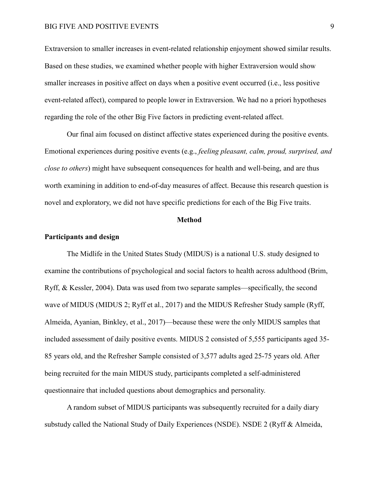Extraversion to smaller increases in event-related relationship enjoyment showed similar results. Based on these studies, we examined whether people with higher Extraversion would show smaller increases in positive affect on days when a positive event occurred (i.e., less positive event-related affect), compared to people lower in Extraversion. We had no a priori hypotheses regarding the role of the other Big Five factors in predicting event-related affect.

Our final aim focused on distinct affective states experienced during the positive events. Emotional experiences during positive events (e.g., *feeling pleasant, calm, proud, surprised, and close to others*) might have subsequent consequences for health and well-being, and are thus worth examining in addition to end-of-day measures of affect. Because this research question is novel and exploratory, we did not have specific predictions for each of the Big Five traits.

#### **Method**

#### **Participants and design**

The Midlife in the United States Study (MIDUS) is a national U.S. study designed to examine the contributions of psychological and social factors to health across adulthood (Brim, Ryff, & Kessler, 2004). Data was used from two separate samples—specifically, the second wave of MIDUS (MIDUS 2; Ryff et al., 2017) and the MIDUS Refresher Study sample (Ryff, Almeida, Ayanian, Binkley, et al., 2017)—because these were the only MIDUS samples that included assessment of daily positive events. MIDUS 2 consisted of 5,555 participants aged 35- 85 years old, and the Refresher Sample consisted of 3,577 adults aged 25-75 years old. After being recruited for the main MIDUS study, participants completed a self-administered questionnaire that included questions about demographics and personality.

A random subset of MIDUS participants was subsequently recruited for a daily diary substudy called the National Study of Daily Experiences (NSDE). NSDE 2 (Ryff & Almeida,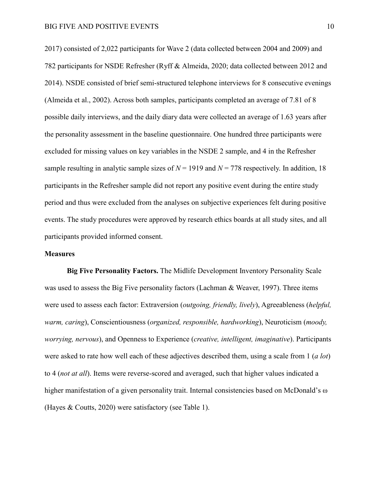2017) consisted of 2,022 participants for Wave 2 (data collected between 2004 and 2009) and 782 participants for NSDE Refresher (Ryff & Almeida, 2020; data collected between 2012 and 2014). NSDE consisted of brief semi-structured telephone interviews for 8 consecutive evenings (Almeida et al., 2002). Across both samples, participants completed an average of 7.81 of 8 possible daily interviews, and the daily diary data were collected an average of 1.63 years after the personality assessment in the baseline questionnaire. One hundred three participants were excluded for missing values on key variables in the NSDE 2 sample, and 4 in the Refresher sample resulting in analytic sample sizes of  $N = 1919$  and  $N = 778$  respectively. In addition, 18 participants in the Refresher sample did not report any positive event during the entire study period and thus were excluded from the analyses on subjective experiences felt during positive events. The study procedures were approved by research ethics boards at all study sites, and all participants provided informed consent.

#### **Measures**

**Big Five Personality Factors.** The Midlife Development Inventory Personality Scale was used to assess the Big Five personality factors (Lachman & Weaver, 1997). Three items were used to assess each factor: Extraversion (*outgoing, friendly, lively*), Agreeableness (*helpful, warm, caring*), Conscientiousness (*organized, responsible, hardworking*), Neuroticism (*moody, worrying, nervous*), and Openness to Experience (*creative, intelligent, imaginative*). Participants were asked to rate how well each of these adjectives described them, using a scale from 1 (*a lot*) to 4 (*not at all*). Items were reverse-scored and averaged, such that higher values indicated a higher manifestation of a given personality trait. Internal consistencies based on McDonald's  $\omega$ (Hayes & Coutts, 2020) were satisfactory (see Table 1).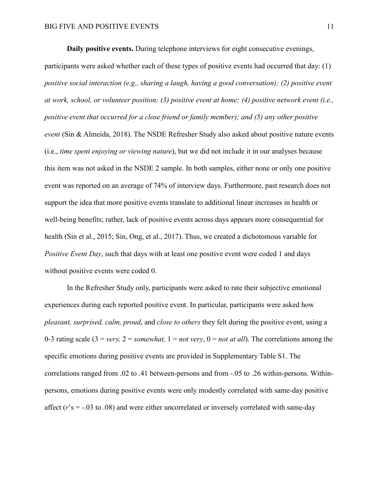**Daily positive events.** During telephone interviews for eight consecutive evenings,

participants were asked whether each of these types of positive events had occurred that day: (1) *positive social interaction (e.g., sharing a laugh, having a good conversation); (2) positive event at work, school, or volunteer position; (3) positive event at home; (4) positive network event (i.e., positive event that occurred for a close friend or family member); and (5) any other positive event* (Sin & Almeida, 2018). The NSDE Refresher Study also asked about positive nature events (i.e., *time spent enjoying or viewing nature*), but we did not include it in our analyses because this item was not asked in the NSDE 2 sample. In both samples, either none or only one positive event was reported on an average of 74% of interview days. Furthermore, past research does not support the idea that more positive events translate to additional linear increases in health or well-being benefits; rather, lack of positive events across days appears more consequential for health (Sin et al., 2015; Sin, Ong, et al., 2017). Thus, we created a dichotomous variable for *Positive Event Day*, such that days with at least one positive event were coded 1 and days without positive events were coded 0.

In the Refresher Study only, participants were asked to rate their subjective emotional experiences during each reported positive event. In particular, participants were asked how *pleasant, surprised, calm, proud*, and *close to others* they felt during the positive event, using a 0-3 rating scale  $(3 = \text{very}, 2 = \text{somewhat}, 1 = \text{not very}, 0 = \text{not at all})$ . The correlations among the specific emotions during positive events are provided in Supplementary Table S1. The correlations ranged from .02 to .41 between-persons and from -.05 to .26 within-persons. Withinpersons, emotions during positive events were only modestly correlated with same-day positive affect  $(r's = -0.03$  to  $.08$ ) and were either uncorrelated or inversely correlated with same-day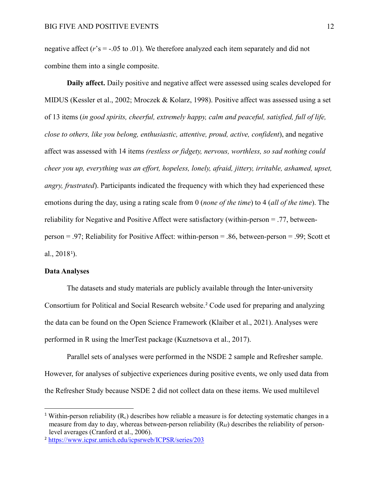negative affect  $(r's = -0.05 \text{ to } 0.01)$ . We therefore analyzed each item separately and did not combine them into a single composite.

**Daily affect.** Daily positive and negative affect were assessed using scales developed for MIDUS (Kessler et al., 2002; Mroczek & Kolarz, 1998). Positive affect was assessed using a set of 13 items (*in good spirits, cheerful, extremely happy, calm and peaceful, satisfied, full of life, close to others, like you belong, enthusiastic, attentive, proud, active, confident*), and negative affect was assessed with 14 items *(restless or fidgety, nervous, worthless, so sad nothing could cheer you up, everything was an effort, hopeless, lonely, afraid, jittery, irritable, ashamed, upset, angry, frustrated*). Participants indicated the frequency with which they had experienced these emotions during the day, using a rating scale from 0 (*none of the time*) to 4 (*all of the time*). The reliability for Negative and Positive Affect were satisfactory (within-person = .77, betweenperson = .97; Reliability for Positive Affect: within-person = .86, between-person = .99; Scott et al.,  $2018^{\circ}$  $2018^{\circ}$  $2018^{\circ}$ ).

## **Data Analyses**

The datasets and study materials are publicly available through the Inter-university Consortium for Political and Social Research website.[2](#page-11-1) Code used for preparing and analyzing the data can be found on the Open Science Framework (Klaiber et al., 2021). Analyses were performed in R using the lmerTest package (Kuznetsova et al., 2017).

Parallel sets of analyses were performed in the NSDE 2 sample and Refresher sample. However, for analyses of subjective experiences during positive events, we only used data from the Refresher Study because NSDE 2 did not collect data on these items. We used multilevel

<span id="page-11-0"></span><sup>&</sup>lt;sup>1</sup> Within-person reliability  $(R_c)$  describes how reliable a measure is for detecting systematic changes in a measure from day to day, whereas between-person reliability  $(R_{k}f)$  describes the reliability of personlevel averages (Cranford et al., 2006).

<span id="page-11-1"></span><sup>2</sup> <https://www.icpsr.umich.edu/icpsrweb/ICPSR/series/203>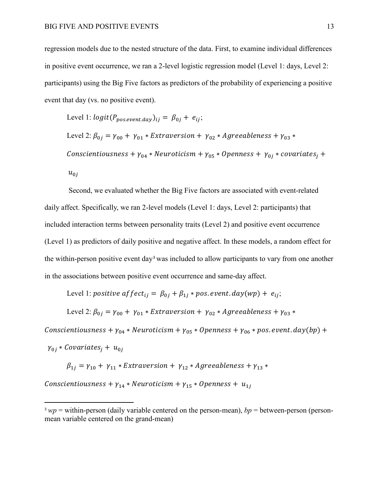regression models due to the nested structure of the data. First, to examine individual differences in positive event occurrence, we ran a 2-level logistic regression model (Level 1: days, Level 2: participants) using the Big Five factors as predictors of the probability of experiencing a positive event that day (vs. no positive event).

Level 1: 
$$
logit(P_{pos.event-day})_{ij} = \beta_{0j} + e_{ij}
$$
;

Level 2:  $\beta_{0i} = \gamma_{00} + \gamma_{01} * Extraversion + \gamma_{02} * Agreeableness + \gamma_{03} *$ Conscientiousness +  $\gamma_{04}$  \* Neuroticism +  $\gamma_{05}$  \* Openness +  $\gamma_{0i}$  \* covariates<sub>i</sub> +  $u_{0j}$ 

Second, we evaluated whether the Big Five factors are associated with event-related daily affect. Specifically, we ran 2-level models (Level 1: days, Level 2: participants) that included interaction terms between personality traits (Level 2) and positive event occurrence (Level 1) as predictors of daily positive and negative affect. In these models, a random effect for the within-person positive event day[3](#page-12-0) was included to allow participants to vary from one another in the associations between positive event occurrence and same-day affect.

Level 1: positive affect<sub>ij</sub> =  $\beta_{0i} + \beta_{1i} *$  pos. event. day(wp) +  $e_{ij}$ ;

Level 2:  $\beta_{0j} = \gamma_{00} + \gamma_{01} * Extraversion + \gamma_{02} * Agreenbeness + \gamma_{03} *$ 

Conscientiousness +  $\gamma_{04} *$  Neuroticism +  $\gamma_{05} *$  Openness +  $\gamma_{06} *$  pos. event. day(bp) +

 $\gamma_{0i} * Covariates_i + u_{0i}$ 

 $\beta_{1i} = \gamma_{10} + \gamma_{11} * Extraversion + \gamma_{12} * Agreeableness + \gamma_{13} *$ 

Conscientiousness +  $\gamma_{14}$  \* Neuroticism +  $\gamma_{15}$  \* Openness +  $u_{1i}$ 

<span id="page-12-0"></span> $3 w p =$  within-person (daily variable centered on the person-mean),  $bp =$  between-person (personmean variable centered on the grand-mean)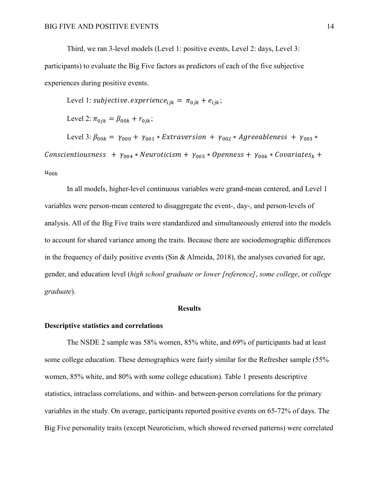Third, we ran 3-level models (Level 1: positive events, Level 2: days, Level 3: participants) to evaluate the Big Five factors as predictors of each of the five subjective experiences during positive events.

Level 1: subjective. experience<sub>tik</sub> =  $\pi_{0jk} + e_{ijk}$ ;

Level 2:  $\pi_{0ik} = \beta_{00k} + r_{0ik}$ ;

Level 3:  $\beta_{00k} = \gamma_{000} + \gamma_{001} * Extraversion + \gamma_{002} * Agreeableness + \gamma_{003} *$  $\cos$  Conscientiousness +  $\gamma_{004} * \text{Neuroticism} + \gamma_{005} * \text{Openness} + \gamma_{00k} * \text{Covariates}_{k} +$  $u_{00k}$ 

In all models, higher-level continuous variables were grand-mean centered, and Level 1 variables were person-mean centered to disaggregate the event-, day-, and person-levels of analysis. All of the Big Five traits were standardized and simultaneously entered into the models to account for shared variance among the traits. Because there are sociodemographic differences in the frequency of daily positive events (Sin & Almeida, 2018), the analyses covaried for age, gender, and education level (*high school graduate or lower [reference]*, *some college*, or *college graduate*).

#### **Results**

### **Descriptive statistics and correlations**

The NSDE 2 sample was 58% women, 85% white, and 69% of participants had at least some college education. These demographics were fairly similar for the Refresher sample (55% women, 85% white, and 80% with some college education). Table 1 presents descriptive statistics, intraclass correlations, and within- and between-person correlations for the primary variables in the study. On average, participants reported positive events on 65-72% of days. The Big Five personality traits (except Neuroticism, which showed reversed patterns) were correlated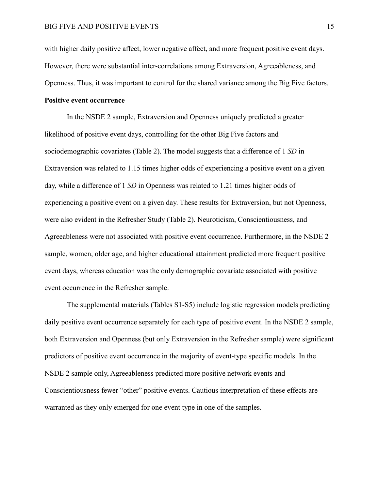with higher daily positive affect, lower negative affect, and more frequent positive event days. However, there were substantial inter-correlations among Extraversion, Agreeableness, and Openness. Thus, it was important to control for the shared variance among the Big Five factors.

## **Positive event occurrence**

In the NSDE 2 sample, Extraversion and Openness uniquely predicted a greater likelihood of positive event days, controlling for the other Big Five factors and sociodemographic covariates (Table 2). The model suggests that a difference of 1 *SD* in Extraversion was related to 1.15 times higher odds of experiencing a positive event on a given day, while a difference of 1 *SD* in Openness was related to 1.21 times higher odds of experiencing a positive event on a given day. These results for Extraversion, but not Openness, were also evident in the Refresher Study (Table 2). Neuroticism, Conscientiousness, and Agreeableness were not associated with positive event occurrence. Furthermore, in the NSDE 2 sample, women, older age, and higher educational attainment predicted more frequent positive event days, whereas education was the only demographic covariate associated with positive event occurrence in the Refresher sample.

The supplemental materials (Tables S1-S5) include logistic regression models predicting daily positive event occurrence separately for each type of positive event. In the NSDE 2 sample, both Extraversion and Openness (but only Extraversion in the Refresher sample) were significant predictors of positive event occurrence in the majority of event-type specific models. In the NSDE 2 sample only, Agreeableness predicted more positive network events and Conscientiousness fewer "other" positive events. Cautious interpretation of these effects are warranted as they only emerged for one event type in one of the samples.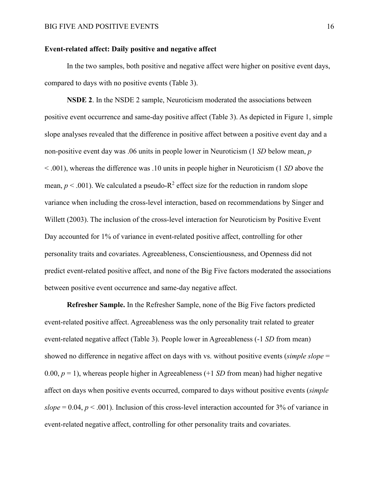## **Event-related affect: Daily positive and negative affect**

In the two samples, both positive and negative affect were higher on positive event days, compared to days with no positive events (Table 3).

**NSDE 2**. In the NSDE 2 sample, Neuroticism moderated the associations between positive event occurrence and same-day positive affect (Table 3). As depicted in Figure 1, simple slope analyses revealed that the difference in positive affect between a positive event day and a non-positive event day was .06 units in people lower in Neuroticism (1 *SD* below mean, *p*  < .001), whereas the difference was .10 units in people higher in Neuroticism (1 *SD* above the mean,  $p < .001$ ). We calculated a pseudo- $R^2$  effect size for the reduction in random slope variance when including the cross-level interaction, based on recommendations by Singer and Willett (2003). The inclusion of the cross-level interaction for Neuroticism by Positive Event Day accounted for 1% of variance in event-related positive affect, controlling for other personality traits and covariates. Agreeableness, Conscientiousness, and Openness did not predict event-related positive affect, and none of the Big Five factors moderated the associations between positive event occurrence and same-day negative affect.

**Refresher Sample.** In the Refresher Sample, none of the Big Five factors predicted event-related positive affect. Agreeableness was the only personality trait related to greater event-related negative affect (Table 3). People lower in Agreeableness (-1 *SD* from mean) showed no difference in negative affect on days with vs. without positive events (*simple slope* = 0.00,  $p = 1$ ), whereas people higher in Agreeableness (+1 *SD* from mean) had higher negative affect on days when positive events occurred, compared to days without positive events (*simple*   $slope = 0.04, p < .001$ ). Inclusion of this cross-level interaction accounted for 3% of variance in event-related negative affect, controlling for other personality traits and covariates.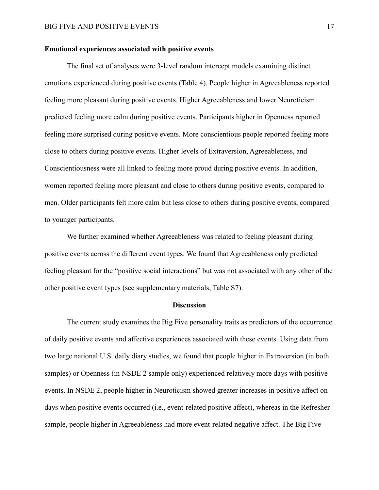### **Emotional experiences associated with positive events**

The final set of analyses were 3-level random intercept models examining distinct emotions experienced during positive events (Table 4). People higher in Agreeableness reported feeling more pleasant during positive events. Higher Agreeableness and lower Neuroticism predicted feeling more calm during positive events. Participants higher in Openness reported feeling more surprised during positive events. More conscientious people reported feeling more close to others during positive events. Higher levels of Extraversion, Agreeableness, and Conscientiousness were all linked to feeling more proud during positive events. In addition, women reported feeling more pleasant and close to others during positive events, compared to men. Older participants felt more calm but less close to others during positive events, compared to younger participants.

We further examined whether Agreeableness was related to feeling pleasant during positive events across the different event types. We found that Agreeableness only predicted feeling pleasant for the "positive social interactions" but was not associated with any other of the other positive event types (see supplementary materials, Table S7).

#### **Discussion**

The current study examines the Big Five personality traits as predictors of the occurrence of daily positive events and affective experiences associated with these events. Using data from two large national U.S. daily diary studies, we found that people higher in Extraversion (in both samples) or Openness (in NSDE 2 sample only) experienced relatively more days with positive events. In NSDE 2, people higher in Neuroticism showed greater increases in positive affect on days when positive events occurred (i.e., event-related positive affect), whereas in the Refresher sample, people higher in Agreeableness had more event-related negative affect. The Big Five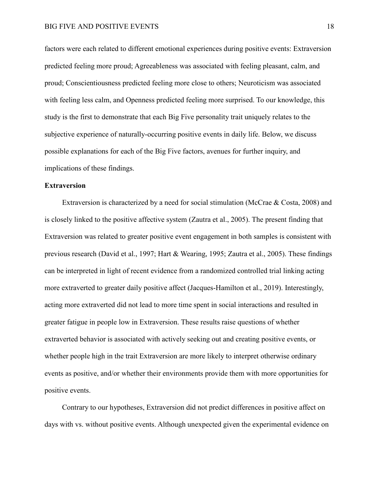factors were each related to different emotional experiences during positive events: Extraversion predicted feeling more proud; Agreeableness was associated with feeling pleasant, calm, and proud; Conscientiousness predicted feeling more close to others; Neuroticism was associated with feeling less calm, and Openness predicted feeling more surprised. To our knowledge, this study is the first to demonstrate that each Big Five personality trait uniquely relates to the subjective experience of naturally-occurring positive events in daily life. Below, we discuss possible explanations for each of the Big Five factors, avenues for further inquiry, and implications of these findings.

## **Extraversion**

Extraversion is characterized by a need for social stimulation (McCrae & Costa, 2008) and is closely linked to the positive affective system (Zautra et al., 2005). The present finding that Extraversion was related to greater positive event engagement in both samples is consistent with previous research (David et al., 1997; Hart & Wearing, 1995; Zautra et al., 2005). These findings can be interpreted in light of recent evidence from a randomized controlled trial linking acting more extraverted to greater daily positive affect (Jacques-Hamilton et al., 2019). Interestingly, acting more extraverted did not lead to more time spent in social interactions and resulted in greater fatigue in people low in Extraversion. These results raise questions of whether extraverted behavior is associated with actively seeking out and creating positive events, or whether people high in the trait Extraversion are more likely to interpret otherwise ordinary events as positive, and/or whether their environments provide them with more opportunities for positive events.

Contrary to our hypotheses, Extraversion did not predict differences in positive affect on days with vs. without positive events. Although unexpected given the experimental evidence on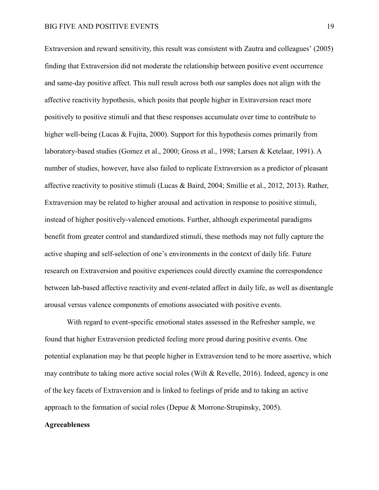Extraversion and reward sensitivity, this result was consistent with Zautra and colleagues' (2005) finding that Extraversion did not moderate the relationship between positive event occurrence and same-day positive affect. This null result across both our samples does not align with the affective reactivity hypothesis, which posits that people higher in Extraversion react more positively to positive stimuli and that these responses accumulate over time to contribute to higher well-being (Lucas & Fujita, 2000). Support for this hypothesis comes primarily from laboratory-based studies (Gomez et al., 2000; Gross et al., 1998; Larsen & Ketelaar, 1991). A number of studies, however, have also failed to replicate Extraversion as a predictor of pleasant affective reactivity to positive stimuli (Lucas & Baird, 2004; Smillie et al., 2012, 2013). Rather, Extraversion may be related to higher arousal and activation in response to positive stimuli, instead of higher positively-valenced emotions. Further, although experimental paradigms benefit from greater control and standardized stimuli, these methods may not fully capture the active shaping and self-selection of one's environments in the context of daily life. Future research on Extraversion and positive experiences could directly examine the correspondence between lab-based affective reactivity and event-related affect in daily life, as well as disentangle arousal versus valence components of emotions associated with positive events.

With regard to event-specific emotional states assessed in the Refresher sample, we found that higher Extraversion predicted feeling more proud during positive events. One potential explanation may be that people higher in Extraversion tend to be more assertive, which may contribute to taking more active social roles (Wilt & Revelle, 2016). Indeed, agency is one of the key facets of Extraversion and is linked to feelings of pride and to taking an active approach to the formation of social roles (Depue & Morrone-Strupinsky, 2005).

#### **Agreeableness**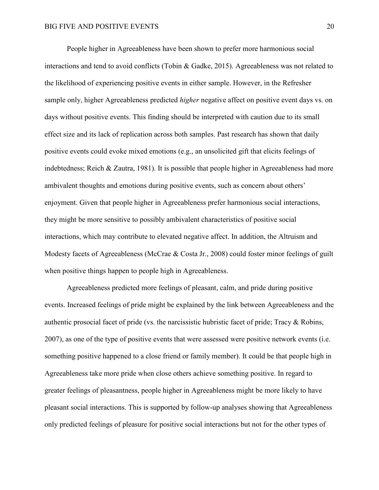People higher in Agreeableness have been shown to prefer more harmonious social interactions and tend to avoid conflicts (Tobin & Gadke, 2015). Agreeableness was not related to the likelihood of experiencing positive events in either sample. However, in the Refresher sample only, higher Agreeableness predicted *higher* negative affect on positive event days vs. on days without positive events. This finding should be interpreted with caution due to its small effect size and its lack of replication across both samples. Past research has shown that daily positive events could evoke mixed emotions (e.g., an unsolicited gift that elicits feelings of indebtedness; Reich & Zautra, 1981). It is possible that people higher in Agreeableness had more ambivalent thoughts and emotions during positive events, such as concern about others' enjoyment. Given that people higher in Agreeableness prefer harmonious social interactions, they might be more sensitive to possibly ambivalent characteristics of positive social interactions, which may contribute to elevated negative affect. In addition, the Altruism and Modesty facets of Agreeableness (McCrae & Costa Jr., 2008) could foster minor feelings of guilt when positive things happen to people high in Agreeableness.

Agreeableness predicted more feelings of pleasant, calm, and pride during positive events. Increased feelings of pride might be explained by the link between Agreeableness and the authentic prosocial facet of pride (vs. the narcissistic hubristic facet of pride; Tracy & Robins, 2007), as one of the type of positive events that were assessed were positive network events (i.e. something positive happened to a close friend or family member). It could be that people high in Agreeableness take more pride when close others achieve something positive. In regard to greater feelings of pleasantness, people higher in Agreeableness might be more likely to have pleasant social interactions. This is supported by follow-up analyses showing that Agreeableness only predicted feelings of pleasure for positive social interactions but not for the other types of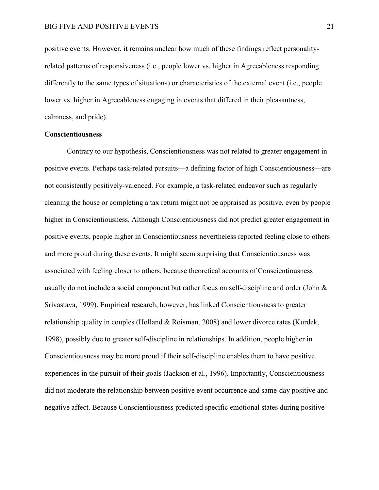positive events. However, it remains unclear how much of these findings reflect personalityrelated patterns of responsiveness (i.e., people lower vs. higher in Agreeableness responding differently to the same types of situations) or characteristics of the external event (i.e., people lower vs. higher in Agreeableness engaging in events that differed in their pleasantness, calmness, and pride).

### **Conscientiousness**

Contrary to our hypothesis, Conscientiousness was not related to greater engagement in positive events. Perhaps task-related pursuits—a defining factor of high Conscientiousness—are not consistently positively-valenced. For example, a task-related endeavor such as regularly cleaning the house or completing a tax return might not be appraised as positive, even by people higher in Conscientiousness. Although Conscientiousness did not predict greater engagement in positive events, people higher in Conscientiousness nevertheless reported feeling close to others and more proud during these events. It might seem surprising that Conscientiousness was associated with feeling closer to others, because theoretical accounts of Conscientiousness usually do not include a social component but rather focus on self-discipline and order (John & Srivastava, 1999). Empirical research, however, has linked Conscientiousness to greater relationship quality in couples (Holland & Roisman, 2008) and lower divorce rates (Kurdek, 1998), possibly due to greater self-discipline in relationships. In addition, people higher in Conscientiousness may be more proud if their self-discipline enables them to have positive experiences in the pursuit of their goals (Jackson et al., 1996). Importantly, Conscientiousness did not moderate the relationship between positive event occurrence and same-day positive and negative affect. Because Conscientiousness predicted specific emotional states during positive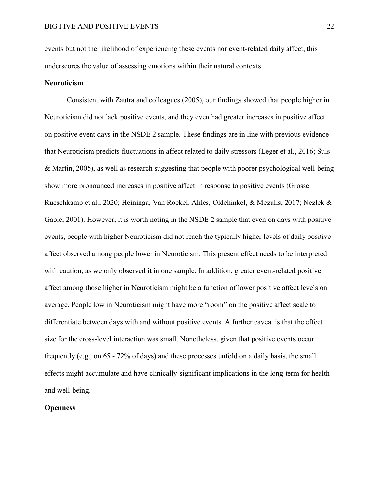events but not the likelihood of experiencing these events nor event-related daily affect, this underscores the value of assessing emotions within their natural contexts.

## **Neuroticism**

Consistent with Zautra and colleagues (2005), our findings showed that people higher in Neuroticism did not lack positive events, and they even had greater increases in positive affect on positive event days in the NSDE 2 sample. These findings are in line with previous evidence that Neuroticism predicts fluctuations in affect related to daily stressors (Leger et al., 2016; Suls & Martin, 2005), as well as research suggesting that people with poorer psychological well-being show more pronounced increases in positive affect in response to positive events (Grosse Rueschkamp et al., 2020; Heininga, Van Roekel, Ahles, Oldehinkel, & Mezulis, 2017; Nezlek & Gable, 2001). However, it is worth noting in the NSDE 2 sample that even on days with positive events, people with higher Neuroticism did not reach the typically higher levels of daily positive affect observed among people lower in Neuroticism. This present effect needs to be interpreted with caution, as we only observed it in one sample. In addition, greater event-related positive affect among those higher in Neuroticism might be a function of lower positive affect levels on average. People low in Neuroticism might have more "room" on the positive affect scale to differentiate between days with and without positive events. A further caveat is that the effect size for the cross-level interaction was small. Nonetheless, given that positive events occur frequently (e.g., on 65 - 72% of days) and these processes unfold on a daily basis, the small effects might accumulate and have clinically-significant implications in the long-term for health and well-being.

## **Openness**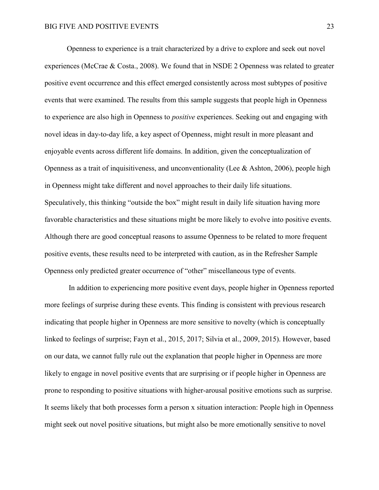Openness to experience is a trait characterized by a drive to explore and seek out novel experiences (McCrae & Costa., 2008). We found that in NSDE 2 Openness was related to greater positive event occurrence and this effect emerged consistently across most subtypes of positive events that were examined. The results from this sample suggests that people high in Openness to experience are also high in Openness to *positive* experiences. Seeking out and engaging with novel ideas in day-to-day life, a key aspect of Openness, might result in more pleasant and enjoyable events across different life domains. In addition, given the conceptualization of Openness as a trait of inquisitiveness, and unconventionality (Lee  $\&$  Ashton, 2006), people high in Openness might take different and novel approaches to their daily life situations. Speculatively, this thinking "outside the box" might result in daily life situation having more favorable characteristics and these situations might be more likely to evolve into positive events. Although there are good conceptual reasons to assume Openness to be related to more frequent positive events, these results need to be interpreted with caution, as in the Refresher Sample Openness only predicted greater occurrence of "other" miscellaneous type of events.

In addition to experiencing more positive event days, people higher in Openness reported more feelings of surprise during these events. This finding is consistent with previous research indicating that people higher in Openness are more sensitive to novelty (which is conceptually linked to feelings of surprise; Fayn et al., 2015, 2017; Silvia et al., 2009, 2015). However, based on our data, we cannot fully rule out the explanation that people higher in Openness are more likely to engage in novel positive events that are surprising or if people higher in Openness are prone to responding to positive situations with higher-arousal positive emotions such as surprise. It seems likely that both processes form a person x situation interaction: People high in Openness might seek out novel positive situations, but might also be more emotionally sensitive to novel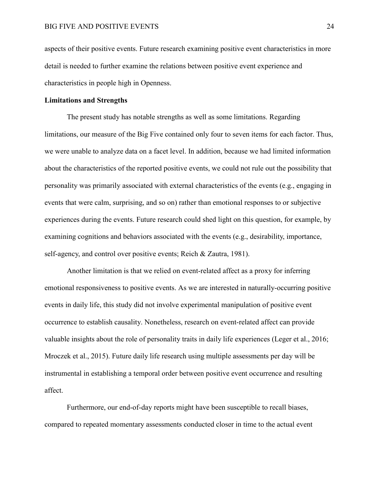aspects of their positive events. Future research examining positive event characteristics in more detail is needed to further examine the relations between positive event experience and characteristics in people high in Openness.

### **Limitations and Strengths**

The present study has notable strengths as well as some limitations. Regarding limitations, our measure of the Big Five contained only four to seven items for each factor. Thus, we were unable to analyze data on a facet level. In addition, because we had limited information about the characteristics of the reported positive events, we could not rule out the possibility that personality was primarily associated with external characteristics of the events (e.g., engaging in events that were calm, surprising, and so on) rather than emotional responses to or subjective experiences during the events. Future research could shed light on this question, for example, by examining cognitions and behaviors associated with the events (e.g., desirability, importance, self-agency, and control over positive events; Reich & Zautra, 1981).

Another limitation is that we relied on event-related affect as a proxy for inferring emotional responsiveness to positive events. As we are interested in naturally-occurring positive events in daily life, this study did not involve experimental manipulation of positive event occurrence to establish causality. Nonetheless, research on event-related affect can provide valuable insights about the role of personality traits in daily life experiences (Leger et al., 2016; Mroczek et al., 2015). Future daily life research using multiple assessments per day will be instrumental in establishing a temporal order between positive event occurrence and resulting affect.

Furthermore, our end-of-day reports might have been susceptible to recall biases, compared to repeated momentary assessments conducted closer in time to the actual event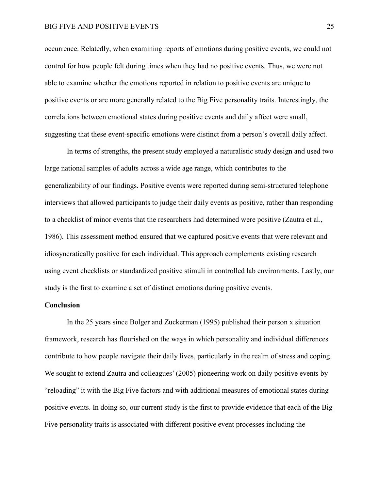occurrence. Relatedly, when examining reports of emotions during positive events, we could not control for how people felt during times when they had no positive events. Thus, we were not able to examine whether the emotions reported in relation to positive events are unique to positive events or are more generally related to the Big Five personality traits. Interestingly, the correlations between emotional states during positive events and daily affect were small, suggesting that these event-specific emotions were distinct from a person's overall daily affect.

In terms of strengths, the present study employed a naturalistic study design and used two large national samples of adults across a wide age range, which contributes to the generalizability of our findings. Positive events were reported during semi-structured telephone interviews that allowed participants to judge their daily events as positive, rather than responding to a checklist of minor events that the researchers had determined were positive (Zautra et al., 1986). This assessment method ensured that we captured positive events that were relevant and idiosyncratically positive for each individual. This approach complements existing research using event checklists or standardized positive stimuli in controlled lab environments. Lastly, our study is the first to examine a set of distinct emotions during positive events.

### **Conclusion**

In the 25 years since Bolger and Zuckerman (1995) published their person x situation framework, research has flourished on the ways in which personality and individual differences contribute to how people navigate their daily lives, particularly in the realm of stress and coping. We sought to extend Zautra and colleagues' (2005) pioneering work on daily positive events by "reloading" it with the Big Five factors and with additional measures of emotional states during positive events. In doing so, our current study is the first to provide evidence that each of the Big Five personality traits is associated with different positive event processes including the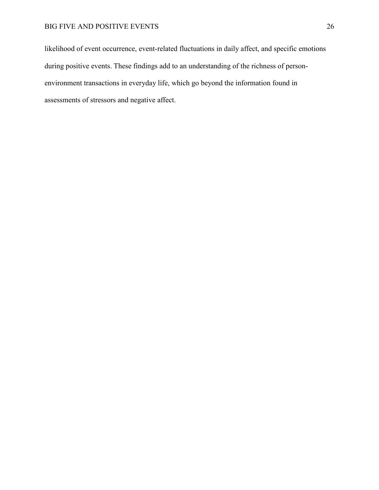likelihood of event occurrence, event-related fluctuations in daily affect, and specific emotions during positive events. These findings add to an understanding of the richness of personenvironment transactions in everyday life, which go beyond the information found in assessments of stressors and negative affect.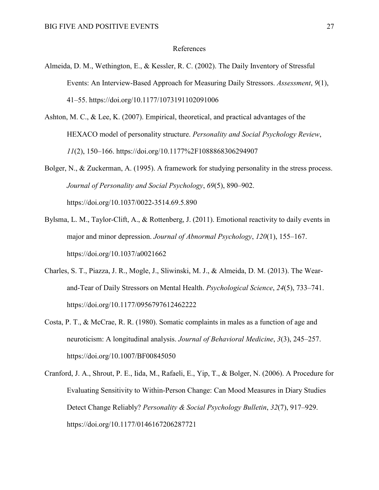### References

- Almeida, D. M., Wethington, E., & Kessler, R. C. (2002). The Daily Inventory of Stressful Events: An Interview-Based Approach for Measuring Daily Stressors. *Assessment*, *9*(1), 41–55. https://doi.org/10.1177/1073191102091006
- Ashton, M. C., & Lee, K. (2007). Empirical, theoretical, and practical advantages of the HEXACO model of personality structure. *Personality and Social Psychology Review*, *11*(2), 150–166. https://doi.org/10.1177%2F1088868306294907
- Bolger, N., & Zuckerman, A. (1995). A framework for studying personality in the stress process. *Journal of Personality and Social Psychology*, *69*(5), 890–902. https://doi.org/10.1037/0022-3514.69.5.890
- Bylsma, L. M., Taylor-Clift, A., & Rottenberg, J. (2011). Emotional reactivity to daily events in major and minor depression. *Journal of Abnormal Psychology*, *120*(1), 155–167. https://doi.org/10.1037/a0021662
- Charles, S. T., Piazza, J. R., Mogle, J., Sliwinski, M. J., & Almeida, D. M. (2013). The Wearand-Tear of Daily Stressors on Mental Health. *Psychological Science*, *24*(5), 733–741. https://doi.org/10.1177/0956797612462222
- Costa, P. T., & McCrae, R. R. (1980). Somatic complaints in males as a function of age and neuroticism: A longitudinal analysis. *Journal of Behavioral Medicine*, *3*(3), 245–257. https://doi.org/10.1007/BF00845050
- Cranford, J. A., Shrout, P. E., Iida, M., Rafaeli, E., Yip, T., & Bolger, N. (2006). A Procedure for Evaluating Sensitivity to Within-Person Change: Can Mood Measures in Diary Studies Detect Change Reliably? *Personality & Social Psychology Bulletin*, *32*(7), 917–929. https://doi.org/10.1177/0146167206287721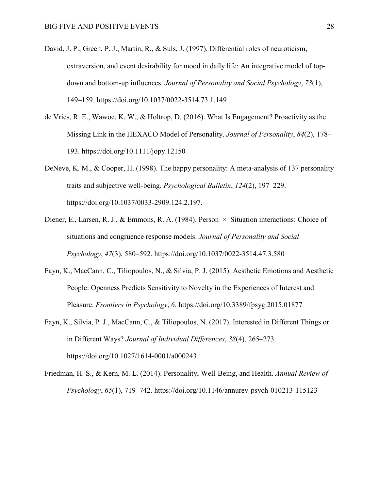- David, J. P., Green, P. J., Martin, R., & Suls, J. (1997). Differential roles of neuroticism, extraversion, and event desirability for mood in daily life: An integrative model of topdown and bottom-up influences. *Journal of Personality and Social Psychology*, *73*(1), 149–159. https://doi.org/10.1037/0022-3514.73.1.149
- de Vries, R. E., Wawoe, K. W., & Holtrop, D. (2016). What Is Engagement? Proactivity as the Missing Link in the HEXACO Model of Personality. *Journal of Personality*, *84*(2), 178– 193. https://doi.org/10.1111/jopy.12150
- DeNeve, K. M., & Cooper, H. (1998). The happy personality: A meta-analysis of 137 personality traits and subjective well-being. *Psychological Bulletin*, *124*(2), 197–229. https://doi.org/10.1037/0033-2909.124.2.197.
- Diener, E., Larsen, R. J., & Emmons, R. A. (1984). Person  $\times$  Situation interactions: Choice of situations and congruence response models. *Journal of Personality and Social Psychology*, *47*(3), 580–592. https://doi.org/10.1037/0022-3514.47.3.580
- Fayn, K., MacCann, C., Tiliopoulos, N., & Silvia, P. J. (2015). Aesthetic Emotions and Aesthetic People: Openness Predicts Sensitivity to Novelty in the Experiences of Interest and Pleasure. *Frontiers in Psychology*, *6*. https://doi.org/10.3389/fpsyg.2015.01877
- Fayn, K., Silvia, P. J., MacCann, C., & Tiliopoulos, N. (2017). Interested in Different Things or in Different Ways? *Journal of Individual Differences*, *38*(4), 265–273. https://doi.org/10.1027/1614-0001/a000243
- Friedman, H. S., & Kern, M. L. (2014). Personality, Well-Being, and Health. *Annual Review of Psychology*, *65*(1), 719–742. https://doi.org/10.1146/annurev-psych-010213-115123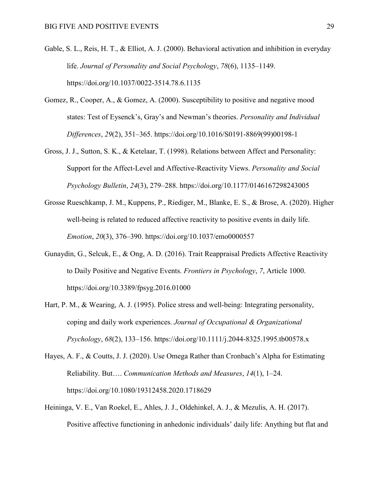- Gable, S. L., Reis, H. T., & Elliot, A. J. (2000). Behavioral activation and inhibition in everyday life. *Journal of Personality and Social Psychology*, *78*(6), 1135–1149. https://doi.org/10.1037/0022-3514.78.6.1135
- Gomez, R., Cooper, A., & Gomez, A. (2000). Susceptibility to positive and negative mood states: Test of Eysenck's, Gray's and Newman's theories. *Personality and Individual Differences*, *29*(2), 351–365. https://doi.org/10.1016/S0191-8869(99)00198-1
- Gross, J. J., Sutton, S. K., & Ketelaar, T. (1998). Relations between Affect and Personality: Support for the Affect-Level and Affective-Reactivity Views. *Personality and Social Psychology Bulletin*, *24*(3), 279–288. https://doi.org/10.1177/0146167298243005
- Grosse Rueschkamp, J. M., Kuppens, P., Riediger, M., Blanke, E. S., & Brose, A. (2020). Higher well-being is related to reduced affective reactivity to positive events in daily life. *Emotion*, *20*(3), 376–390. https://doi.org/10.1037/emo0000557
- Gunaydin, G., Selcuk, E., & Ong, A. D. (2016). Trait Reappraisal Predicts Affective Reactivity to Daily Positive and Negative Events. *Frontiers in Psychology*, *7*, Article 1000. https://doi.org/10.3389/fpsyg.2016.01000
- Hart, P. M., & Wearing, A. J. (1995). Police stress and well-being: Integrating personality, coping and daily work experiences. *Journal of Occupational & Organizational Psychology*, *68*(2), 133–156. https://doi.org/10.1111/j.2044-8325.1995.tb00578.x
- Hayes, A. F., & Coutts, J. J. (2020). Use Omega Rather than Cronbach's Alpha for Estimating Reliability. But…. *Communication Methods and Measures*, *14*(1), 1–24. https://doi.org/10.1080/19312458.2020.1718629
- Heininga, V. E., Van Roekel, E., Ahles, J. J., Oldehinkel, A. J., & Mezulis, A. H. (2017). Positive affective functioning in anhedonic individuals' daily life: Anything but flat and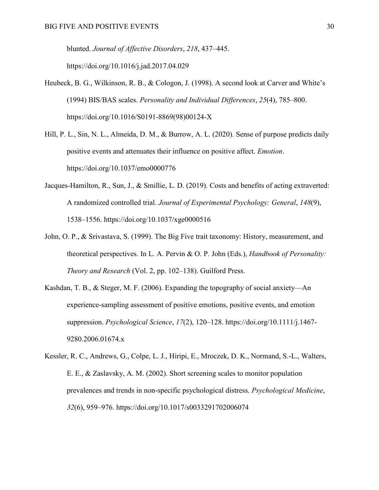blunted. *Journal of Affective Disorders*, *218*, 437–445.

https://doi.org/10.1016/j.jad.2017.04.029

- Heubeck, B. G., Wilkinson, R. B., & Cologon, J. (1998). A second look at Carver and White's (1994) BIS/BAS scales. *Personality and Individual Differences*, *25*(4), 785–800. https://doi.org/10.1016/S0191-8869(98)00124-X
- Hill, P. L., Sin, N. L., Almeida, D. M., & Burrow, A. L. (2020). Sense of purpose predicts daily positive events and attenuates their influence on positive affect. *Emotion*. https://doi.org/10.1037/emo0000776
- Jacques-Hamilton, R., Sun, J., & Smillie, L. D. (2019). Costs and benefits of acting extraverted: A randomized controlled trial. *Journal of Experimental Psychology: General*, *148*(9), 1538–1556. https://doi.org/10.1037/xge0000516
- John, O. P., & Srivastava, S. (1999). The Big Five trait taxonomy: History, measurement, and theoretical perspectives. In L. A. Pervin & O. P. John (Eds.), *Handbook of Personality: Theory and Research* (Vol. 2, pp. 102–138). Guilford Press.
- Kashdan, T. B., & Steger, M. F. (2006). Expanding the topography of social anxiety—An experience-sampling assessment of positive emotions, positive events, and emotion suppression. *Psychological Science*, *17*(2), 120–128. https://doi.org/10.1111/j.1467- 9280.2006.01674.x
- Kessler, R. C., Andrews, G., Colpe, L. J., Hiripi, E., Mroczek, D. K., Normand, S.-L., Walters, E. E., & Zaslavsky, A. M. (2002). Short screening scales to monitor population prevalences and trends in non-specific psychological distress. *Psychological Medicine*, *32*(6), 959–976. https://doi.org/10.1017/s0033291702006074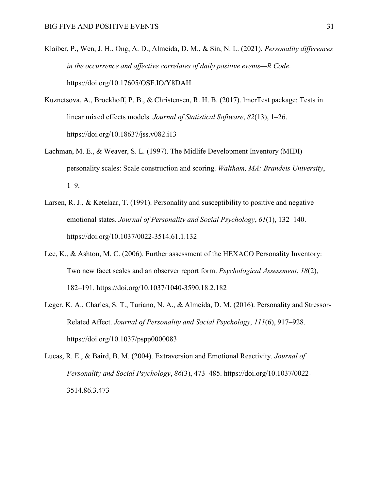- Klaiber, P., Wen, J. H., Ong, A. D., Almeida, D. M., & Sin, N. L. (2021). *Personality differences in the occurrence and affective correlates of daily positive events—R Code*. https://doi.org/10.17605/OSF.IO/Y8DAH
- Kuznetsova, A., Brockhoff, P. B., & Christensen, R. H. B. (2017). lmerTest package: Tests in linear mixed effects models. *Journal of Statistical Software*, *82*(13), 1–26. https://doi.org/10.18637/jss.v082.i13
- Lachman, M. E., & Weaver, S. L. (1997). The Midlife Development Inventory (MIDI) personality scales: Scale construction and scoring. *Waltham, MA: Brandeis University*, 1–9.
- Larsen, R. J., & Ketelaar, T. (1991). Personality and susceptibility to positive and negative emotional states. *Journal of Personality and Social Psychology*, *61*(1), 132–140. https://doi.org/10.1037/0022-3514.61.1.132
- Lee, K., & Ashton, M. C. (2006). Further assessment of the HEXACO Personality Inventory: Two new facet scales and an observer report form. *Psychological Assessment*, *18*(2), 182–191. https://doi.org/10.1037/1040-3590.18.2.182
- Leger, K. A., Charles, S. T., Turiano, N. A., & Almeida, D. M. (2016). Personality and Stressor-Related Affect. *Journal of Personality and Social Psychology*, *111*(6), 917–928. https://doi.org/10.1037/pspp0000083
- Lucas, R. E., & Baird, B. M. (2004). Extraversion and Emotional Reactivity. *Journal of Personality and Social Psychology*, *86*(3), 473–485. https://doi.org/10.1037/0022- 3514.86.3.473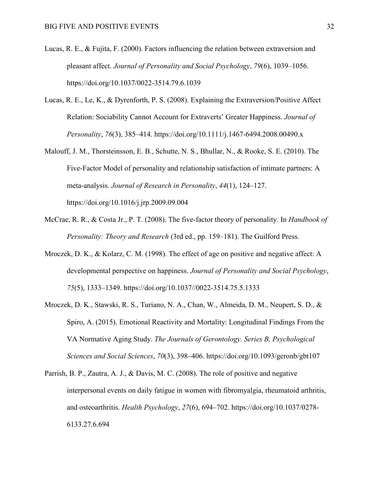- Lucas, R. E., & Fujita, F. (2000). Factors influencing the relation between extraversion and pleasant affect. *Journal of Personality and Social Psychology*, *79*(6), 1039–1056. https://doi.org/10.1037/0022-3514.79.6.1039
- Lucas, R. E., Le, K., & Dyrenforth, P. S. (2008). Explaining the Extraversion/Positive Affect Relation: Sociability Cannot Account for Extraverts' Greater Happiness. *Journal of Personality*, *76*(3), 385–414. https://doi.org/10.1111/j.1467-6494.2008.00490.x
- Malouff, J. M., Thorsteinsson, E. B., Schutte, N. S., Bhullar, N., & Rooke, S. E. (2010). The Five-Factor Model of personality and relationship satisfaction of intimate partners: A meta-analysis. *Journal of Research in Personality*, *44*(1), 124–127. https://doi.org/10.1016/j.jrp.2009.09.004
- McCrae, R. R., & Costa Jr., P. T. (2008). The five-factor theory of personality. In *Handbook of Personality: Theory and Research* (3rd ed., pp. 159–181). The Guilford Press.
- Mroczek, D. K., & Kolarz, C. M. (1998). The effect of age on positive and negative affect: A developmental perspective on happiness. *Journal of Personality and Social Psychology*, *75*(5), 1333–1349. https://doi.org/10.1037//0022-3514.75.5.1333
- Mroczek, D. K., Stawski, R. S., Turiano, N. A., Chan, W., Almeida, D. M., Neupert, S. D., & Spiro, A. (2015). Emotional Reactivity and Mortality: Longitudinal Findings From the VA Normative Aging Study. *The Journals of Gerontology. Series B, Psychological Sciences and Social Sciences*, *70*(3), 398–406. https://doi.org/10.1093/geronb/gbt107
- Parrish, B. P., Zautra, A. J., & Davis, M. C. (2008). The role of positive and negative interpersonal events on daily fatigue in women with fibromyalgia, rheumatoid arthritis, and osteoarthritis. *Health Psychology*, *27*(6), 694–702. https://doi.org/10.1037/0278- 6133.27.6.694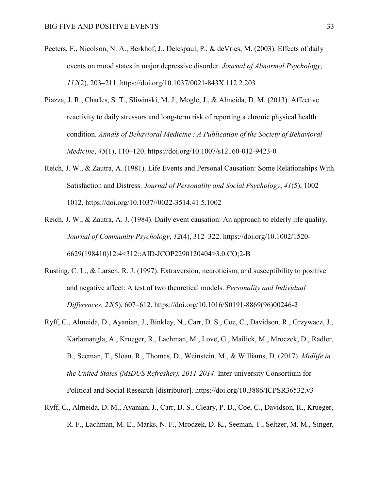- Peeters, F., Nicolson, N. A., Berkhof, J., Delespaul, P., & deVries, M. (2003). Effects of daily events on mood states in major depressive disorder. *Journal of Abnormal Psychology*, *112*(2), 203–211. https://doi.org/10.1037/0021-843X.112.2.203
- Piazza, J. R., Charles, S. T., Sliwinski, M. J., Mogle, J., & Almeida, D. M. (2013). Affective reactivity to daily stressors and long-term risk of reporting a chronic physical health condition. Annals of Behavioral Medicine: A Publication of the Society of Behavioral *Medicine*, *45*(1), 110–120. https://doi.org/10.1007/s12160-012-9423-0
- Reich, J. W., & Zautra, A. (1981). Life Events and Personal Causation: Some Relationships With Satisfaction and Distress. *Journal of Personality and Social Psychology*, *41*(5), 1002– 1012. https://doi.org/10.1037//0022-3514.41.5.1002
- Reich, J. W., & Zautra, A. J. (1984). Daily event causation: An approach to elderly life quality. *Journal of Community Psychology*, *12*(4), 312–322. https://doi.org/10.1002/1520- 6629(198410)12:4<312::AID-JCOP2290120404>3.0.CO;2-B
- Rusting, C. L., & Larsen, R. J. (1997). Extraversion, neuroticism, and susceptibility to positive and negative affect: A test of two theoretical models. *Personality and Individual Differences*, *22*(5), 607–612. https://doi.org/10.1016/S0191-8869(96)00246-2
- Ryff, C., Almeida, D., Ayanian, J., Binkley, N., Carr, D. S., Coe, C., Davidson, R., Grzywacz, J., Karlamangla, A., Krueger, R., Lachman, M., Love, G., Mailick, M., Mroczek, D., Radler, B., Seeman, T., Sloan, R., Thomas, D., Weinstein, M., & Williams, D. (2017). *Midlife in the United States (MIDUS Refresher), 2011-2014*. Inter-university Consortium for Political and Social Research [distributor]. https://doi.org/10.3886/ICPSR36532.v3
- Ryff, C., Almeida, D. M., Ayanian, J., Carr, D. S., Cleary, P. D., Coe, C., Davidson, R., Krueger, R. F., Lachman, M. E., Marks, N. F., Mroczek, D. K., Seeman, T., Seltzer, M. M., Singer,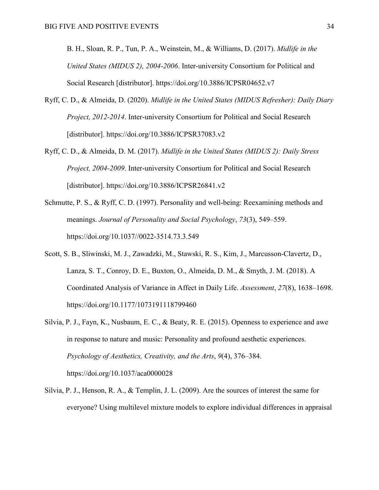B. H., Sloan, R. P., Tun, P. A., Weinstein, M., & Williams, D. (2017). *Midlife in the United States (MIDUS 2), 2004-2006*. Inter-university Consortium for Political and Social Research [distributor]. https://doi.org/10.3886/ICPSR04652.v7

- Ryff, C. D., & Almeida, D. (2020). *Midlife in the United States (MIDUS Refresher): Daily Diary Project, 2012-2014*. Inter-university Consortium for Political and Social Research [distributor]. https://doi.org/10.3886/ICPSR37083.v2
- Ryff, C. D., & Almeida, D. M. (2017). *Midlife in the United States (MIDUS 2): Daily Stress Project, 2004-2009*. Inter-university Consortium for Political and Social Research [distributor]. https://doi.org/10.3886/ICPSR26841.v2
- Schmutte, P. S., & Ryff, C. D. (1997). Personality and well-being: Reexamining methods and meanings. *Journal of Personality and Social Psychology*, *73*(3), 549–559. https://doi.org/10.1037//0022-3514.73.3.549
- Scott, S. B., Sliwinski, M. J., Zawadzki, M., Stawski, R. S., Kim, J., Marcusson-Clavertz, D., Lanza, S. T., Conroy, D. E., Buxton, O., Almeida, D. M., & Smyth, J. M. (2018). A Coordinated Analysis of Variance in Affect in Daily Life. *Assessment*, *27*(8), 1638–1698. https://doi.org/10.1177/1073191118799460
- Silvia, P. J., Fayn, K., Nusbaum, E. C., & Beaty, R. E. (2015). Openness to experience and awe in response to nature and music: Personality and profound aesthetic experiences. *Psychology of Aesthetics, Creativity, and the Arts*, *9*(4), 376–384. https://doi.org/10.1037/aca0000028
- Silvia, P. J., Henson, R. A., & Templin, J. L. (2009). Are the sources of interest the same for everyone? Using multilevel mixture models to explore individual differences in appraisal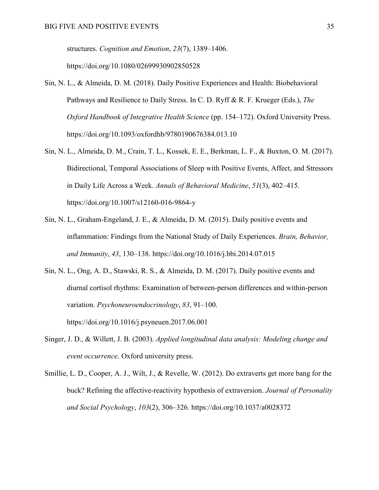structures. *Cognition and Emotion*, *23*(7), 1389–1406.

https://doi.org/10.1080/02699930902850528

- Sin, N. L., & Almeida, D. M. (2018). Daily Positive Experiences and Health: Biobehavioral Pathways and Resilience to Daily Stress. In C. D. Ryff & R. F. Krueger (Eds.), *The Oxford Handbook of Integrative Health Science* (pp. 154–172). Oxford University Press. https://doi.org/10.1093/oxfordhb/9780190676384.013.10
- Sin, N. L., Almeida, D. M., Crain, T. L., Kossek, E. E., Berkman, L. F., & Buxton, O. M. (2017). Bidirectional, Temporal Associations of Sleep with Positive Events, Affect, and Stressors in Daily Life Across a Week. *Annals of Behavioral Medicine*, *51*(3), 402–415. https://doi.org/10.1007/s12160-016-9864-y
- Sin, N. L., Graham-Engeland, J. E., & Almeida, D. M. (2015). Daily positive events and inflammation: Findings from the National Study of Daily Experiences. *Brain, Behavior, and Immunity*, *43*, 130–138. https://doi.org/10.1016/j.bbi.2014.07.015
- Sin, N. L., Ong, A. D., Stawski, R. S., & Almeida, D. M. (2017). Daily positive events and diurnal cortisol rhythms: Examination of between-person differences and within-person variation. *Psychoneuroendocrinology*, *83*, 91–100. https://doi.org/10.1016/j.psyneuen.2017.06.001
- Singer, J. D., & Willett, J. B. (2003). *Applied longitudinal data analysis: Modeling change and event occurrence*. Oxford university press.
- Smillie, L. D., Cooper, A. J., Wilt, J., & Revelle, W. (2012). Do extraverts get more bang for the buck? Refining the affective-reactivity hypothesis of extraversion. *Journal of Personality and Social Psychology*, *103*(2), 306–326. https://doi.org/10.1037/a0028372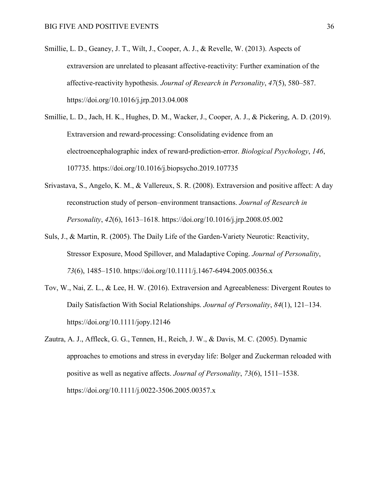- Smillie, L. D., Geaney, J. T., Wilt, J., Cooper, A. J., & Revelle, W. (2013). Aspects of extraversion are unrelated to pleasant affective-reactivity: Further examination of the affective-reactivity hypothesis. *Journal of Research in Personality*, *47*(5), 580–587. https://doi.org/10.1016/j.jrp.2013.04.008
- Smillie, L. D., Jach, H. K., Hughes, D. M., Wacker, J., Cooper, A. J., & Pickering, A. D. (2019). Extraversion and reward-processing: Consolidating evidence from an electroencephalographic index of reward-prediction-error. *Biological Psychology*, *146*, 107735. https://doi.org/10.1016/j.biopsycho.2019.107735
- Srivastava, S., Angelo, K. M., & Vallereux, S. R. (2008). Extraversion and positive affect: A day reconstruction study of person–environment transactions. *Journal of Research in Personality*, *42*(6), 1613–1618. https://doi.org/10.1016/j.jrp.2008.05.002
- Suls, J., & Martin, R. (2005). The Daily Life of the Garden-Variety Neurotic: Reactivity, Stressor Exposure, Mood Spillover, and Maladaptive Coping. *Journal of Personality*, *73*(6), 1485–1510. https://doi.org/10.1111/j.1467-6494.2005.00356.x
- Tov, W., Nai, Z. L., & Lee, H. W. (2016). Extraversion and Agreeableness: Divergent Routes to Daily Satisfaction With Social Relationships. *Journal of Personality*, *84*(1), 121–134. https://doi.org/10.1111/jopy.12146
- Zautra, A. J., Affleck, G. G., Tennen, H., Reich, J. W., & Davis, M. C. (2005). Dynamic approaches to emotions and stress in everyday life: Bolger and Zuckerman reloaded with positive as well as negative affects. *Journal of Personality*, *73*(6), 1511–1538. https://doi.org/10.1111/j.0022-3506.2005.00357.x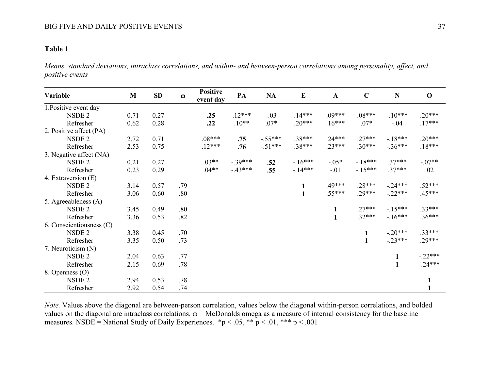## **Table 1**

*Means, standard deviations, intraclass correlations, and within- and between-person correlations among personality, affect, and positive events* 

| Variable                 | M    | SD   | $\omega$ | <b>Positive</b><br>event day | PA        | NA        | $\bf{E}$     | $\mathbf{A}$ | $\mathbf C$  | N            | $\mathbf 0$  |
|--------------------------|------|------|----------|------------------------------|-----------|-----------|--------------|--------------|--------------|--------------|--------------|
| 1. Positive event day    |      |      |          |                              |           |           |              |              |              |              |              |
| NSDE <sub>2</sub>        | 0.71 | 0.27 |          | .25                          | $.12***$  | $-.03$    | $.14***$     | $.09***$     | $.08***$     | $-10***$     | $.20***$     |
| Refresher                | 0.62 | 0.28 |          | .22                          | $.10**$   | $.07*$    | $.20***$     | $.16***$     | $.07*$       | $-.04$       | $.17***$     |
| 2. Positive affect (PA)  |      |      |          |                              |           |           |              |              |              |              |              |
| NSDE <sub>2</sub>        | 2.72 | 0.71 |          | $.08***$                     | .75       | $-.55***$ | .38***       | $.24***$     | $.27***$     | $-18***$     | $.20***$     |
| Refresher                | 2.53 | 0.75 |          | $.12***$                     | .76       | $-.51***$ | .38***       | $.23***$     | $.30***$     | $-.36***$    | $.18***$     |
| 3. Negative affect (NA)  |      |      |          |                              |           |           |              |              |              |              |              |
| NSDE <sub>2</sub>        | 0.21 | 0.27 |          | $.03**$                      | $-.39***$ | .52       | $-16***$     | $-0.05*$     | $-18***$     | $.37***$     | $-.07**$     |
| Refresher                | 0.23 | 0.29 |          | $.04**$                      | $-43***$  | .55       | $-14***$     | $-.01$       | $-15***$     | $.37***$     | .02          |
| 4. Extraversion (E)      |      |      |          |                              |           |           |              |              |              |              |              |
| NSDE <sub>2</sub>        | 3.14 | 0.57 | .79      |                              |           |           | $\mathbf{1}$ | .49***       | $.28***$     | $-24***$     | $.52***$     |
| Refresher                | 3.06 | 0.60 | .80      |                              |           |           | $\mathbf{1}$ | $.55***$     | $.29***$     | $-22***$     | $.45***$     |
| 5. Agreeableness (A)     |      |      |          |                              |           |           |              |              |              |              |              |
| NSDE <sub>2</sub>        | 3.45 | 0.49 | .80      |                              |           |           |              | $\mathbf{1}$ | $.27***$     | $-15***$     | .33***       |
| Refresher                | 3.36 | 0.53 | .82      |                              |           |           |              | $\mathbf{1}$ | $.32***$     | $-16***$     | $.36***$     |
| 6. Conscientiousness (C) |      |      |          |                              |           |           |              |              |              |              |              |
| NSDE <sub>2</sub>        | 3.38 | 0.45 | .70      |                              |           |           |              |              | $\mathbf{1}$ | $-.20***$    | .33***       |
| Refresher                | 3.35 | 0.50 | .73      |                              |           |           |              |              | $\mathbf{1}$ | $-23***$     | .29***       |
| 7. Neuroticism (N)       |      |      |          |                              |           |           |              |              |              |              |              |
| NSDE <sub>2</sub>        | 2.04 | 0.63 | .77      |                              |           |           |              |              |              | 1            | $-22***$     |
| Refresher                | 2.15 | 0.69 | .78      |                              |           |           |              |              |              | $\mathbf{1}$ | $-24***$     |
| 8. Openness (O)          |      |      |          |                              |           |           |              |              |              |              |              |
| NSDE <sub>2</sub>        | 2.94 | 0.53 | .78      |                              |           |           |              |              |              |              | $\mathbf{1}$ |
| Refresher                | 2.92 | 0.54 | .74      |                              |           |           |              |              |              |              |              |

*Note.* Values above the diagonal are between-person correlation, values below the diagonal within-person correlations, and bolded values on the diagonal are intraclass correlations.  $\omega = McDonalds$  omega as a measure of internal consistency for the baseline measures. NSDE = National Study of Daily Experiences. \*p < .05, \*\*  $p$  < .01, \*\*\* p < .001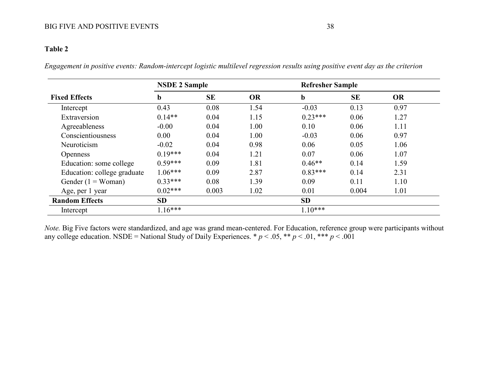# **Table 2**

*Engagement in positive events: Random-intercept logistic multilevel regression results using positive event day as the criterion*

|                             | <b>NSDE 2 Sample</b> |           |           |             | <b>Refresher Sample</b> |           |  |  |
|-----------------------------|----------------------|-----------|-----------|-------------|-------------------------|-----------|--|--|
| <b>Fixed Effects</b>        | b                    | <b>SE</b> | <b>OR</b> | $\mathbf b$ | <b>SE</b>               | <b>OR</b> |  |  |
| Intercept                   | 0.43                 | 0.08      | 1.54      | $-0.03$     | 0.13                    | 0.97      |  |  |
| Extraversion                | $0.14**$             | 0.04      | 1.15      | $0.23***$   | 0.06                    | 1.27      |  |  |
| Agreeableness               | $-0.00$              | 0.04      | 1.00      | 0.10        | 0.06                    | 1.11      |  |  |
| Conscientiousness           | 0.00                 | 0.04      | 1.00      | $-0.03$     | 0.06                    | 0.97      |  |  |
| Neuroticism                 | $-0.02$              | 0.04      | 0.98      | 0.06        | 0.05                    | 1.06      |  |  |
| <b>Openness</b>             | $0.19***$            | 0.04      | 1.21      | 0.07        | 0.06                    | 1.07      |  |  |
| Education: some college     | $0.59***$            | 0.09      | 1.81      | $0.46**$    | 0.14                    | 1.59      |  |  |
| Education: college graduate | $1.06***$            | 0.09      | 2.87      | $0.83***$   | 0.14                    | 2.31      |  |  |
| Gender $(1 = Woman)$        | $0.33***$            | 0.08      | 1.39      | 0.09        | 0.11                    | 1.10      |  |  |
| Age, per 1 year             | $0.02***$            | 0.003     | 1.02      | 0.01        | 0.004                   | 1.01      |  |  |
| <b>Random Effects</b>       | <b>SD</b>            |           |           | <b>SD</b>   |                         |           |  |  |
| Intercept                   | $1.16***$            |           |           | $1.10***$   |                         |           |  |  |

*Note.* Big Five factors were standardized, and age was grand mean-centered. For Education, reference group were participants without any college education. NSDE = National Study of Daily Experiences.  $* p < .05, ** p < .01, ** p < .001$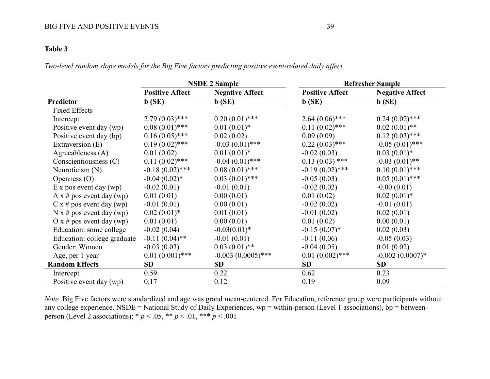# **Table 3**

*Two-level random slope models for the Big Five factors predicting positive event-related daily affect*

|                             |                        | <b>NSDE 2 Sample</b>   | <b>Refresher Sample</b> |                        |  |  |
|-----------------------------|------------------------|------------------------|-------------------------|------------------------|--|--|
|                             | <b>Positive Affect</b> | <b>Negative Affect</b> | <b>Positive Affect</b>  | <b>Negative Affect</b> |  |  |
| Predictor                   | $\mathbf{b}$ (SE)      | $\mathbf{b}$ (SE)      | $\mathbf{b}$ (SE)       | b(SE)                  |  |  |
| <b>Fixed Effects</b>        |                        |                        |                         |                        |  |  |
| Intercept                   | $2.79(0.03)$ ***       | $0.20(0.01)$ ***       | $2.64(0.06)$ ***        | $0.24(0.02)$ ***       |  |  |
| Positive event day (wp)     | $0.08(0.01)$ ***       | $0.01(0.01)^*$         | $0.11(0.02)$ ***        | $0.02(0.01)$ **        |  |  |
| Positive event day (bp)     | $0.16(0.05)$ ***       | 0.02(0.02)             | 0.09(0.09)              | $0.12(0.03)$ ***       |  |  |
| Extraversion (E)            | $0.19(0.02)$ ***       | $-0.03(0.01)$ ***      | $0.22(0.03)$ ***        | $-0.05(0.01)$ ***      |  |  |
| Agreeableness (A)           | 0.01(0.02)             | $0.01(0.01)^*$         | $-0.02(0.03)$           | $0.03(0.01)^*$         |  |  |
| Conscientiousness (C)       | $0.11(0.02)$ ***       | $-0.04(0.01)$ ***      | $0.13(0.03)$ ***        | $-0.03(0.01)$ **       |  |  |
| Neuroticism $(N)$           | $-0.18(0.02)$ ***      | $0.08(0.01)$ ***       | $-0.19(0.02)$ ***       | $0.10(0.01)$ ***       |  |  |
| Openness $(O)$              | $-0.04(0.02)$ *        | $0.03(0.01)$ ***       | $-0.05(0.03)$           | $0.05(0.01)$ ***       |  |  |
| $E$ x pos event day (wp)    | $-0.02(0.01)$          | $-0.01(0.01)$          | $-0.02(0.02)$           | $-0.00(0.01)$          |  |  |
| A x # pos event day (wp)    | 0.01(0.01)             | 0.00(0.01)             | 0.01(0.02)              | $0.02(0.01)^*$         |  |  |
| $C x \# pos$ event day (wp) | $-0.01(0.01)$          | 0.00(0.01)             | $-0.02(0.02)$           | $-0.01(0.01)$          |  |  |
| N x # pos event day (wp)    | $0.02(0.01)^*$         | 0.01(0.01)             | $-0.01(0.02)$           | 0.02(0.01)             |  |  |
| $O x \# pos event day (wp)$ | 0.01(0.01)             | 0.00(0.01)             | 0.01(0.02)              | 0.00(0.01)             |  |  |
| Education: some college     | $-0.02(0.04)$          | $-0.03(0.01)^*$        | $-0.15(0.07)^*$         | 0.02(0.03)             |  |  |
| Education: college graduate | $-0.11(0.04)$ **       | $-0.01(0.01)$          | $-0.11(0.06)$           | $-0.05(0.03)$          |  |  |
| Gender: Women               | $-0.03(0.03)$          | $0.03(0.01)$ **        | $-0.04(0.05)$           | 0.01(0.02)             |  |  |
| Age, per 1 year             | $0.01(0.001)$ ***      | $-0.003(0.0005)$ ***   | $0.01(0.002)$ ***       | $-0.002(0.0007)$ *     |  |  |
| <b>Random Effects</b>       | <b>SD</b>              | SD                     | <b>SD</b>               | SD                     |  |  |
| Intercept                   | 0.59                   | 0.22                   | 0.62                    | 0.23                   |  |  |
| Positive event day (wp)     | 0.17                   | 0.12                   | 0.19                    | 0.09                   |  |  |

*Note.* Big Five factors were standardized and age was grand mean-centered. For Education, reference group were participants without any college experience. NSDE = National Study of Daily Experiences, wp = within-person (Level 1 associations), bp = betweenperson (Level 2 associations); \* *p* < .05, \*\* *p* < .01, \*\*\* *p* < .001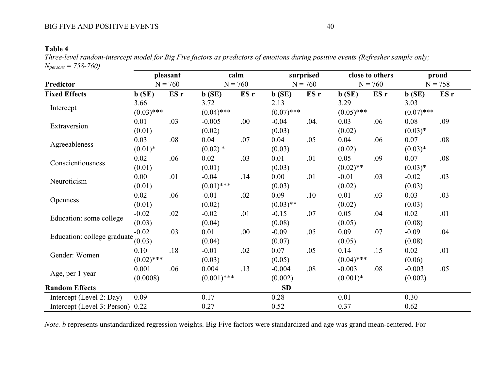# **Table 4**

*Three-level random-intercept model for Big Five factors as predictors of emotions during positive events (Refresher sample only; Npersons = 758-760)*

|                                  | pleasant<br>$N = 760$ |      | calm<br>$N = 760$ |      | surprised<br>$N = 760$ |      | close to others<br>$N = 760$ |      | proud<br>$N = 758$ |      |
|----------------------------------|-----------------------|------|-------------------|------|------------------------|------|------------------------------|------|--------------------|------|
| Predictor                        |                       |      |                   |      |                        |      |                              |      |                    |      |
| <b>Fixed Effects</b>             | $\mathbf{b}$ (SE)     | ES r | b(SE)             | ES r | $\mathbf{b}$ (SE)      | ES r | b(SE)                        | ES r | b(SE)              | ES r |
| Intercept                        | 3.66                  |      | 3.72              |      | 2.13                   |      | 3.29                         |      | 3.03               |      |
|                                  | $(0.03)$ ***          |      | $(0.04)$ ***      |      | $(0.07)$ ***           |      | $(0.05)$ ***                 |      | $(0.07)$ ***       |      |
| Extraversion                     | 0.01                  | .03  | $-0.005$          | .00  | $-0.04$                | .04. | 0.03                         | .06  | 0.08               | .09  |
|                                  | (0.01)                |      | (0.02)            |      | (0.03)                 |      | (0.02)                       |      | $(0.03)*$          |      |
| Agreeableness                    | 0.03                  | .08  | 0.04              | .07  | 0.04                   | .05  | 0.04                         | .06  | 0.07               | .08  |
|                                  | $(0.01)^*$            |      | $(0.02)$ *        |      | (0.03)                 |      | (0.02)                       |      | $(0.03)*$          |      |
| Conscientiousness                | 0.02                  | .06  | 0.02              | .03  | 0.01                   | .01  | 0.05                         | .09  | 0.07               | .08  |
|                                  | (0.01)                |      | (0.01)            |      | (0.03)                 |      | $(0.02)$ **                  |      | $(0.03)*$          |      |
| Neuroticism                      | 0.00                  | .01  | $-0.04$           | .14  | 0.00                   | .01  | $-0.01$                      | .03  | $-0.02$            | .03  |
|                                  | (0.01)                |      | $(0.01)$ ***      |      | (0.03)                 |      | (0.02)                       |      | (0.03)             |      |
|                                  | 0.02                  | .06  | $-0.01$           | .02  | 0.09                   | .10  | 0.01                         | .03  | 0.03               | .03  |
| <b>Openness</b>                  | (0.01)                |      | (0.02)            |      | $(0.03)$ **            |      | (0.02)                       |      | (0.03)             |      |
|                                  | $-0.02$               | .02  | $-0.02$           | .01  | $-0.15$                | .07  | 0.05                         | .04  | 0.02               | .01  |
| Education: some college          | (0.03)                |      | (0.04)            |      | (0.08)                 |      | (0.05)                       |      | (0.08)             |      |
|                                  | $-0.02$               | .03  | 0.01              | .00. | $-0.09$                | .05  | 0.09                         | .07  | $-0.09$            | .04  |
| Education: college graduate      | (0.03)                |      | (0.04)            |      | (0.07)                 |      | (0.05)                       |      | (0.08)             |      |
| Gender: Women                    | 0.10                  | .18  | $-0.01$           | .02  | 0.07                   | .05  | 0.14                         | .15  | 0.02               | .01  |
|                                  | $(0.02)$ ***          |      | (0.03)            |      | (0.05)                 |      | $(0.04)$ ***                 |      | (0.06)             |      |
| Age, per 1 year                  | 0.001                 | .06  | 0.004             | .13  | $-0.004$               | .08  | $-0.003$                     | .08  | $-0.003$           | .05  |
|                                  | (0.0008)              |      | $(0.001)$ ***     |      | (0.002)                |      | $(0.001)*$                   |      | (0.002)            |      |
| <b>Random Effects</b>            |                       |      |                   |      | SD                     |      |                              |      |                    |      |
| Intercept (Level 2: Day)         | 0.09                  |      | 0.17              |      | 0.28                   |      | 0.01                         |      | 0.30               |      |
| Intercept (Level 3: Person) 0.22 |                       |      | 0.27              |      | 0.52                   |      | 0.37                         |      | 0.62               |      |

*Note. b* represents unstandardized regression weights. Big Five factors were standardized and age was grand mean-centered. For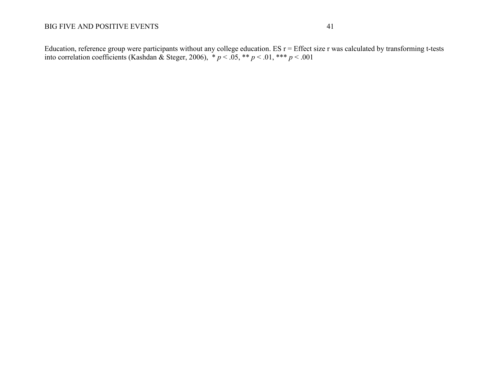Education, reference group were participants without any college education. ES r = Effect size r was calculated by transforming t-tests into correlation coefficients (Kashdan & Steger, 2006),  $\ast p < .05$ ,  $\ast \ast p < .01$ ,  $\ast \ast p < .001$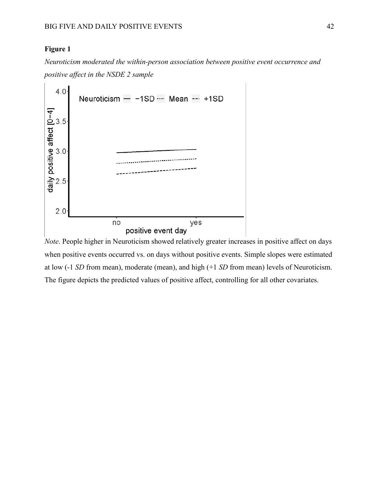# **Figure 1**

*Neuroticism moderated the within-person association between positive event occurrence and positive affect in the NSDE 2 sample*



*Note*. People higher in Neuroticism showed relatively greater increases in positive affect on days when positive events occurred vs. on days without positive events. Simple slopes were estimated at low (-1 *SD* from mean), moderate (mean), and high (+1 *SD* from mean) levels of Neuroticism. The figure depicts the predicted values of positive affect, controlling for all other covariates.